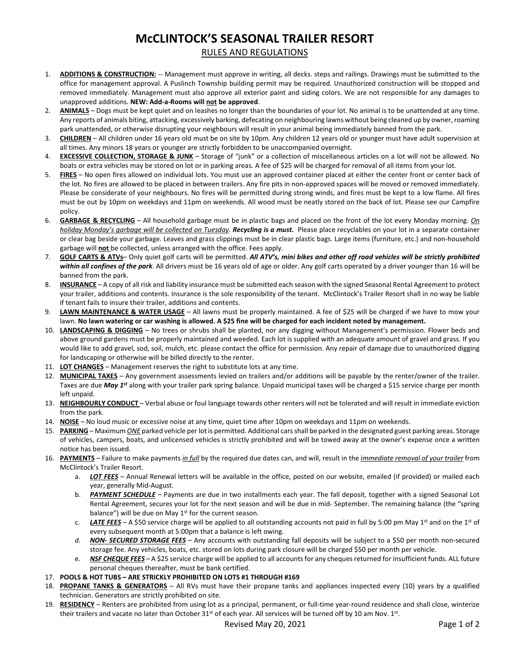## **McCLINTOCK'S SEASONAL TRAILER RESORT**

## RULES AND REGULATIONS

- 1. **ADDITIONS & CONSTRUCTION:** -- Management must approve in writing, all decks. steps and railings. Drawings must be submitted to the office for management approval. A Puslinch Township building permit may be required. Unauthorized construction will be stopped and removed immediately. Management must also approve all exterior paint and siding colors. We are not responsible for any damages to unapproved additions. **NEW: Add-a-Rooms will not be approved**.
- 2. **ANIMALS** Dogs must be kept quiet and on leashes no longer than the boundaries of your lot. No animal is to be unattended at any time. Any reports of animals biting, attacking, excessively barking, defecating on neighbouring lawns without being cleaned up by owner, roaming park unattended, or otherwise disrupting your neighbours will result in your animal being immediately banned from the park.
- 3. **CHILDREN** All children under 16 years old must be on site by 10pm. Any children 12 years old or younger must have adult supervision at all times. Any minors 18 years or younger are strictly forbidden to be unaccompanied overnight.
- 4. **EXCESSIVE COLLECTION, STORAGE & JUNK** Storage of "junk" or a collection of miscellaneous articles on a lot will not be allowed. No boats or extra vehicles may be stored on lot or in parking areas. A fee of \$25 will be charged for removal of all items from your lot.
- 5. **FIRES** No open fires allowed on individual lots. You must use an approved container placed at either the center front or center back of the lot. No fires are allowed to be placed in between trailers. Any fire pits in non-approved spaces will be moved or removed immediately. Please be considerate of your neighbours. No fires will be permitted during strong winds, and fires must be kept to a low flame. All fires must be out by 10pm on weekdays and 11pm on weekends. All wood must be neatly stored on the back of lot. Please see our Campfire policy.
- 6. **GARBAGE & RECYCLING** All household garbage must be in plastic bags and placed on the front of the lot every Monday morning. *On holiday Monday's garbage will be collected on Tuesday*. *Recycling is a must.* Please place recyclables on your lot in a separate container or clear bag beside your garbage. Leaves and grass clippings must be in clear plastic bags. Large items (furniture, etc.) and non-household garbage will **not** be collected, unless arranged with the office. Fees apply.
- 7. **GOLF CARTS & ATVs** Only quiet golf carts will be permitted. *All ATV's, mini bikes and other off road vehicles will be strictly prohibited within all confines of the park*. All drivers must be 16 years old of age or older. Any golf carts operated by a driver younger than 16 will be banned from the park.
- 8. **INSURANCE** A copy of all risk and liability insurance must be submitted each season with the signed Seasonal Rental Agreement to protect your trailer, additions and contents. Insurance is the sole responsibility of the tenant. McClintock's Trailer Resort shall in no way be liable if tenant fails to insure their trailer, additions and contents.
- 9. **LAWN MAINTENANCE & WATER USAGE** All lawns must be properly maintained. A fee of \$25 will be charged if we have to mow your lawn. **No lawn watering or car washing is allowed. A \$25 fine will be charged for each incident noted by management.**
- 10. **LANDSCAPING & DIGGING** No trees or shrubs shall be planted, nor any digging without Management's permission. Flower beds and above ground gardens must be properly maintained and weeded. Each lot is supplied with an adequate amount of gravel and grass. If you would like to add gravel, sod, soil, mulch, etc. please contact the office for permission. Any repair of damage due to unauthorized digging for landscaping or otherwise will be billed directly to the renter.
- 11. **LOT CHANGES** Management reserves the right to substitute lots at any time.
- 12. **MUNICIPAL TAXES** Any government assessments levied on trailers and/or additions will be payable by the renter/owner of the trailer. Taxes are due *May 1st* along with your trailer park spring balance. Unpaid municipal taxes will be charged a \$15 service charge per month left unpaid.
- 13. **NEIGHBOURLY CONDUCT**  Verbal abuse or foul language towards other renters will not be tolerated and will result in immediate eviction from the park.
- 14. **NOISE** No loud music or excessive noise at any time, quiet time after 10pm on weekdays and 11pm on weekends.
- 15. **PARKING** Maximum *ONE* parked vehicle per lot is permitted. Additional cars shall be parked in the designated guest parking areas. Storage of vehicles, campers, boats, and unlicensed vehicles is strictly prohibited and will be towed away at the owner's expense once a written notice has been issued.
- 16. **PAYMENTS** Failure to make payments *in full* by the required due dates can, and will, result in the *immediate removal of your trailer* from McClintock's Trailer Resort.
	- a. *LOT FEES* Annual Renewal letters will be available in the office, posted on our website, emailed (if provided) or mailed each year, generally Mid-August.
	- b. *PAYMENT SCHEDULE* Payments are due in two installments each year. The fall deposit, together with a signed Seasonal Lot Rental Agreement, secures your lot for the next season and will be due in mid- September. The remaining balance (the "spring balance") will be due on May  $1<sup>st</sup>$  for the current season.
	- c. LATE FEES A \$50 service charge will be applied to all outstanding accounts not paid in full by 5:00 pm May 1<sup>st</sup> and on the 1<sup>st</sup> of every subsequent month at 5:00pm that a balance is left owing.
	- *d. NON- SECURED STORAGE FEES* Any accounts with outstanding fall deposits will be subject to a \$50 per month non-secured storage fee. Any vehicles, boats, etc. stored on lots during park closure will be charged \$50 per month per vehicle.
	- e. *NSF CHEQUE FEES* A \$25 service charge will be applied to all accounts for any cheques returned for insufficient funds. ALL future personal cheques thereafter, must be bank certified.
- 17. **POOLS & HOT TUBS – ARE STRICKLY PROHIBITED ON LOTS #1 THROUGH #169**
- 18. **PROPANE TANKS & GENERATORS** All RVs must have their propane tanks and appliances inspected every (10) years by a qualified technician. Generators are strictly prohibited on site.
- 19. **RESIDENCY** Renters are prohibited from using lot as a principal, permanent, or full-time year-round residence and shall close, winterize their trailers and vacate no later than October 31<sup>st</sup> of each year. All services will be turned off by 10 am Nov. 1<sup>st</sup>.